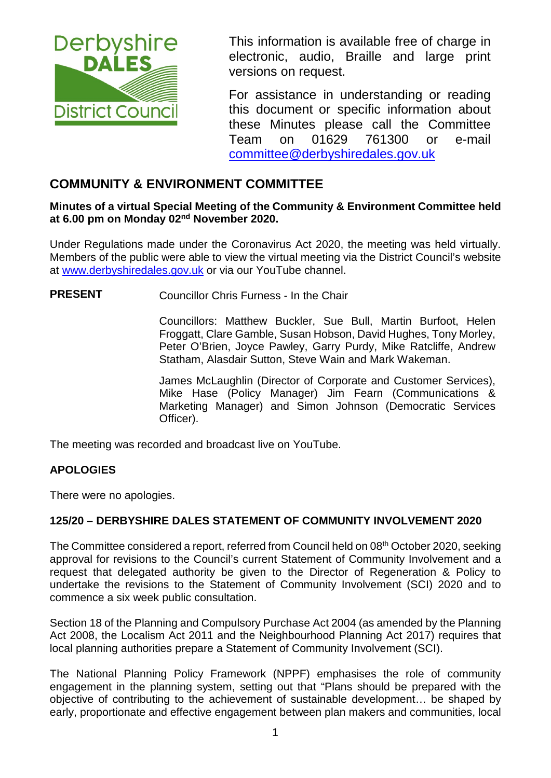

This information is available free of charge in electronic, audio, Braille and large print versions on request.

For assistance in understanding or reading this document or specific information about these Minutes please call the Committee Team on 01629 761300 or e-mail [committee@derbyshiredales.gov.uk](mailto:brian.evans@derbyshiredales.gov.uk) 

# **COMMUNITY & ENVIRONMENT COMMITTEE**

#### **Minutes of a virtual Special Meeting of the Community & Environment Committee held at 6.00 pm on Monday 02nd November 2020.**

Under Regulations made under the Coronavirus Act 2020, the meeting was held virtually. Members of the public were able to view the virtual meeting via the District Council's website at [www.derbyshiredales.gov.uk](http://www.derbyshiredales.gov.uk/) or via our YouTube channel.

**PRESENT** Councillor Chris Furness - In the Chair

Councillors: Matthew Buckler, Sue Bull, Martin Burfoot, Helen Froggatt, Clare Gamble, Susan Hobson, David Hughes, Tony Morley, Peter O'Brien, Joyce Pawley, Garry Purdy, Mike Ratcliffe, Andrew Statham, Alasdair Sutton, Steve Wain and Mark Wakeman.

James McLaughlin (Director of Corporate and Customer Services), Mike Hase (Policy Manager) Jim Fearn (Communications & Marketing Manager) and Simon Johnson (Democratic Services Officer).

The meeting was recorded and broadcast live on YouTube.

### **APOLOGIES**

There were no apologies.

#### **125/20 – DERBYSHIRE DALES STATEMENT OF COMMUNITY INVOLVEMENT 2020**

The Committee considered a report, referred from Council held on 08th October 2020, seeking approval for revisions to the Council's current Statement of Community Involvement and a request that delegated authority be given to the Director of Regeneration & Policy to undertake the revisions to the Statement of Community Involvement (SCI) 2020 and to commence a six week public consultation.

Section 18 of the Planning and Compulsory Purchase Act 2004 (as amended by the Planning Act 2008, the Localism Act 2011 and the Neighbourhood Planning Act 2017) requires that local planning authorities prepare a Statement of Community Involvement (SCI).

The National Planning Policy Framework (NPPF) emphasises the role of community engagement in the planning system, setting out that "Plans should be prepared with the objective of contributing to the achievement of sustainable development… be shaped by early, proportionate and effective engagement between plan makers and communities, local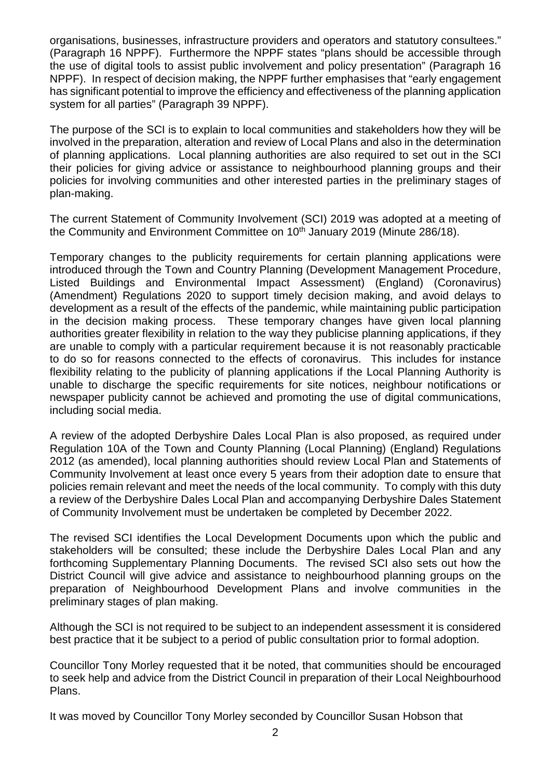organisations, businesses, infrastructure providers and operators and statutory consultees." (Paragraph 16 NPPF). Furthermore the NPPF states "plans should be accessible through the use of digital tools to assist public involvement and policy presentation" (Paragraph 16 NPPF). In respect of decision making, the NPPF further emphasises that "early engagement has significant potential to improve the efficiency and effectiveness of the planning application system for all parties" (Paragraph 39 NPPF).

The purpose of the SCI is to explain to local communities and stakeholders how they will be involved in the preparation, alteration and review of Local Plans and also in the determination of planning applications. Local planning authorities are also required to set out in the SCI their policies for giving advice or assistance to neighbourhood planning groups and their policies for involving communities and other interested parties in the preliminary stages of plan-making.

The current Statement of Community Involvement (SCI) 2019 was adopted at a meeting of the Community and Environment Committee on 10<sup>th</sup> January 2019 (Minute 286/18).

Temporary changes to the publicity requirements for certain planning applications were introduced through the Town and Country Planning (Development Management Procedure, Listed Buildings and Environmental Impact Assessment) (England) (Coronavirus) (Amendment) Regulations 2020 to support timely decision making, and avoid delays to development as a result of the effects of the pandemic, while maintaining public participation in the decision making process. These temporary changes have given local planning authorities greater flexibility in relation to the way they publicise planning applications, if they are unable to comply with a particular requirement because it is not reasonably practicable to do so for reasons connected to the effects of coronavirus. This includes for instance flexibility relating to the publicity of planning applications if the Local Planning Authority is unable to discharge the specific requirements for site notices, neighbour notifications or newspaper publicity cannot be achieved and promoting the use of digital communications, including social media.

A review of the adopted Derbyshire Dales Local Plan is also proposed, as required under Regulation 10A of the Town and County Planning (Local Planning) (England) Regulations 2012 (as amended), local planning authorities should review Local Plan and Statements of Community Involvement at least once every 5 years from their adoption date to ensure that policies remain relevant and meet the needs of the local community. To comply with this duty a review of the Derbyshire Dales Local Plan and accompanying Derbyshire Dales Statement of Community Involvement must be undertaken be completed by December 2022.

The revised SCI identifies the Local Development Documents upon which the public and stakeholders will be consulted; these include the Derbyshire Dales Local Plan and any forthcoming Supplementary Planning Documents. The revised SCI also sets out how the District Council will give advice and assistance to neighbourhood planning groups on the preparation of Neighbourhood Development Plans and involve communities in the preliminary stages of plan making.

Although the SCI is not required to be subject to an independent assessment it is considered best practice that it be subject to a period of public consultation prior to formal adoption.

Councillor Tony Morley requested that it be noted, that communities should be encouraged to seek help and advice from the District Council in preparation of their Local Neighbourhood Plans.

It was moved by Councillor Tony Morley seconded by Councillor Susan Hobson that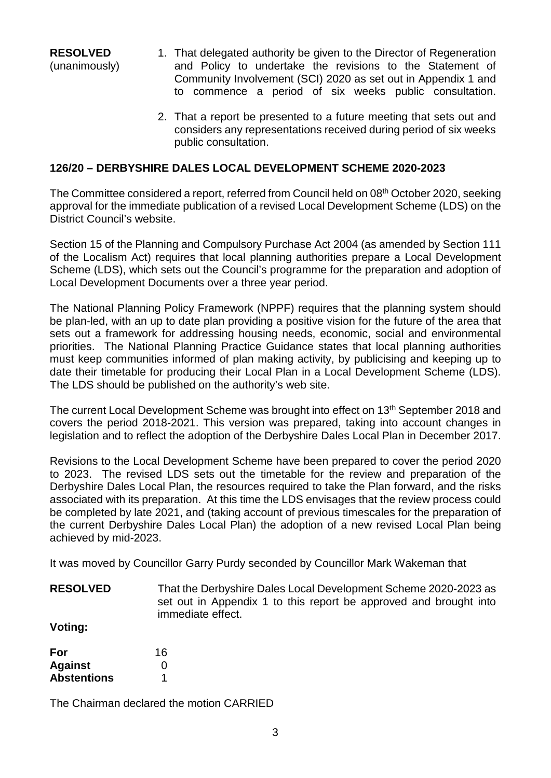**RESOLVED** (unanimously)

- 1. That delegated authority be given to the Director of Regeneration and Policy to undertake the revisions to the Statement of Community Involvement (SCI) 2020 as set out in Appendix 1 and to commence a period of six weeks public consultation.
- 2. That a report be presented to a future meeting that sets out and considers any representations received during period of six weeks public consultation.

### **126/20 – DERBYSHIRE DALES LOCAL DEVELOPMENT SCHEME 2020-2023**

The Committee considered a report, referred from Council held on 08<sup>th</sup> October 2020, seeking approval for the immediate publication of a revised Local Development Scheme (LDS) on the District Council's website.

Section 15 of the Planning and Compulsory Purchase Act 2004 (as amended by Section 111 of the Localism Act) requires that local planning authorities prepare a Local Development Scheme (LDS), which sets out the Council's programme for the preparation and adoption of Local Development Documents over a three year period.

The National Planning Policy Framework (NPPF) requires that the planning system should be plan-led, with an up to date plan providing a positive vision for the future of the area that sets out a framework for addressing housing needs, economic, social and environmental priorities. The National Planning Practice Guidance states that local planning authorities must keep communities informed of plan making activity, by publicising and keeping up to date their timetable for producing their Local Plan in a Local Development Scheme (LDS). The LDS should be published on the authority's web site.

The current Local Development Scheme was brought into effect on 13<sup>th</sup> September 2018 and covers the period 2018-2021. This version was prepared, taking into account changes in legislation and to reflect the adoption of the Derbyshire Dales Local Plan in December 2017.

Revisions to the Local Development Scheme have been prepared to cover the period 2020 to 2023. The revised LDS sets out the timetable for the review and preparation of the Derbyshire Dales Local Plan, the resources required to take the Plan forward, and the risks associated with its preparation. At this time the LDS envisages that the review process could be completed by late 2021, and (taking account of previous timescales for the preparation of the current Derbyshire Dales Local Plan) the adoption of a new revised Local Plan being achieved by mid-2023.

It was moved by Councillor Garry Purdy seconded by Councillor Mark Wakeman that

**RESOLVED** That the Derbyshire Dales Local Development Scheme 2020-2023 as set out in Appendix 1 to this report be approved and brought into immediate effect.

**Voting:**

| For                | 16 |
|--------------------|----|
| <b>Against</b>     | O  |
| <b>Abstentions</b> |    |

The Chairman declared the motion CARRIED